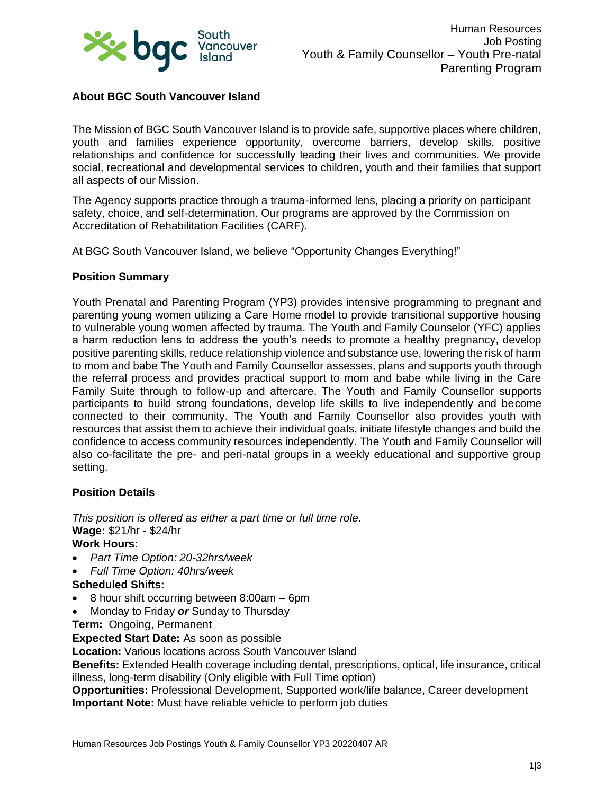

# **About BGC South Vancouver Island**

The Mission of BGC South Vancouver Island is to provide safe, supportive places where children, youth and families experience opportunity, overcome barriers, develop skills, positive relationships and confidence for successfully leading their lives and communities. We provide social, recreational and developmental services to children, youth and their families that support all aspects of our Mission.

The Agency supports practice through a trauma-informed lens, placing a priority on participant safety, choice, and self-determination. Our programs are approved by the Commission on Accreditation of Rehabilitation Facilities (CARF).

At BGC South Vancouver Island, we believe "Opportunity Changes Everything!"

### **Position Summary**

Youth Prenatal and Parenting Program (YP3) provides intensive programming to pregnant and parenting young women utilizing a Care Home model to provide transitional supportive housing to vulnerable young women affected by trauma. The Youth and Family Counselor (YFC) applies a harm reduction lens to address the youth's needs to promote a healthy pregnancy, develop positive parenting skills, reduce relationship violence and substance use, lowering the risk of harm to mom and babe The Youth and Family Counsellor assesses, plans and supports youth through the referral process and provides practical support to mom and babe while living in the Care Family Suite through to follow-up and aftercare. The Youth and Family Counsellor supports participants to build strong foundations, develop life skills to live independently and become connected to their community. The Youth and Family Counsellor also provides youth with resources that assist them to achieve their individual goals, initiate lifestyle changes and build the confidence to access community resources independently. The Youth and Family Counsellor will also co-facilitate the pre- and peri-natal groups in a weekly educational and supportive group setting.

### **Position Details**

*This position is offered as either a part time or full time role.* **Wage:** \$21/hr - \$24/hr **Work Hours**:

- *Part Time Option: 20-32hrs/week*
- *Full Time Option: 40hrs/week*

### **Scheduled Shifts:**

- 8 hour shift occurring between 8:00am 6pm
- Monday to Friday *or* Sunday to Thursday
- **Term:** Ongoing, Permanent

**Expected Start Date:** As soon as possible

**Location:** Various locations across South Vancouver Island

**Benefits:** Extended Health coverage including dental, prescriptions, optical, life insurance, critical illness, long-term disability (Only eligible with Full Time option)

**Opportunities:** Professional Development, Supported work/life balance, Career development **Important Note:** Must have reliable vehicle to perform job duties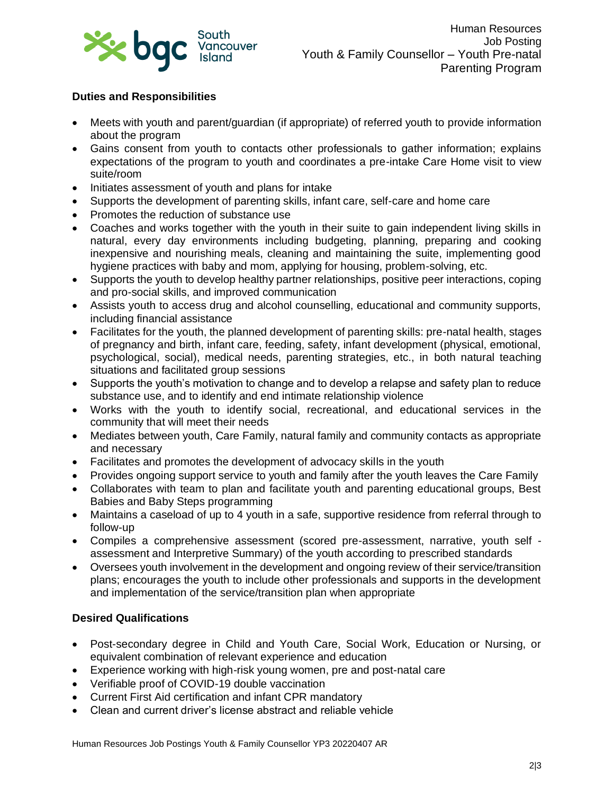

# **Duties and Responsibilities**

- Meets with youth and parent/guardian (if appropriate) of referred youth to provide information about the program
- Gains consent from youth to contacts other professionals to gather information; explains expectations of the program to youth and coordinates a pre-intake Care Home visit to view suite/room
- Initiates assessment of youth and plans for intake
- Supports the development of parenting skills, infant care, self-care and home care
- Promotes the reduction of substance use
- Coaches and works together with the youth in their suite to gain independent living skills in natural, every day environments including budgeting, planning, preparing and cooking inexpensive and nourishing meals, cleaning and maintaining the suite, implementing good hygiene practices with baby and mom, applying for housing, problem-solving, etc.
- Supports the youth to develop healthy partner relationships, positive peer interactions, coping and pro-social skills, and improved communication
- Assists youth to access drug and alcohol counselling, educational and community supports, including financial assistance
- Facilitates for the youth, the planned development of parenting skills: pre-natal health, stages of pregnancy and birth, infant care, feeding, safety, infant development (physical, emotional, psychological, social), medical needs, parenting strategies, etc., in both natural teaching situations and facilitated group sessions
- Supports the youth's motivation to change and to develop a relapse and safety plan to reduce substance use, and to identify and end intimate relationship violence
- Works with the youth to identify social, recreational, and educational services in the community that will meet their needs
- Mediates between youth, Care Family, natural family and community contacts as appropriate and necessary
- Facilitates and promotes the development of advocacy skills in the youth
- Provides ongoing support service to youth and family after the youth leaves the Care Family
- Collaborates with team to plan and facilitate youth and parenting educational groups, Best Babies and Baby Steps programming
- Maintains a caseload of up to 4 youth in a safe, supportive residence from referral through to follow-up
- Compiles a comprehensive assessment (scored pre-assessment, narrative, youth self assessment and Interpretive Summary) of the youth according to prescribed standards
- Oversees youth involvement in the development and ongoing review of their service/transition plans; encourages the youth to include other professionals and supports in the development and implementation of the service/transition plan when appropriate

### **Desired Qualifications**

- Post-secondary degree in Child and Youth Care, Social Work, Education or Nursing, or equivalent combination of relevant experience and education
- Experience working with high-risk young women, pre and post-natal care
- Verifiable proof of COVID-19 double vaccination
- Current First Aid certification and infant CPR mandatory
- Clean and current driver's license abstract and reliable vehicle